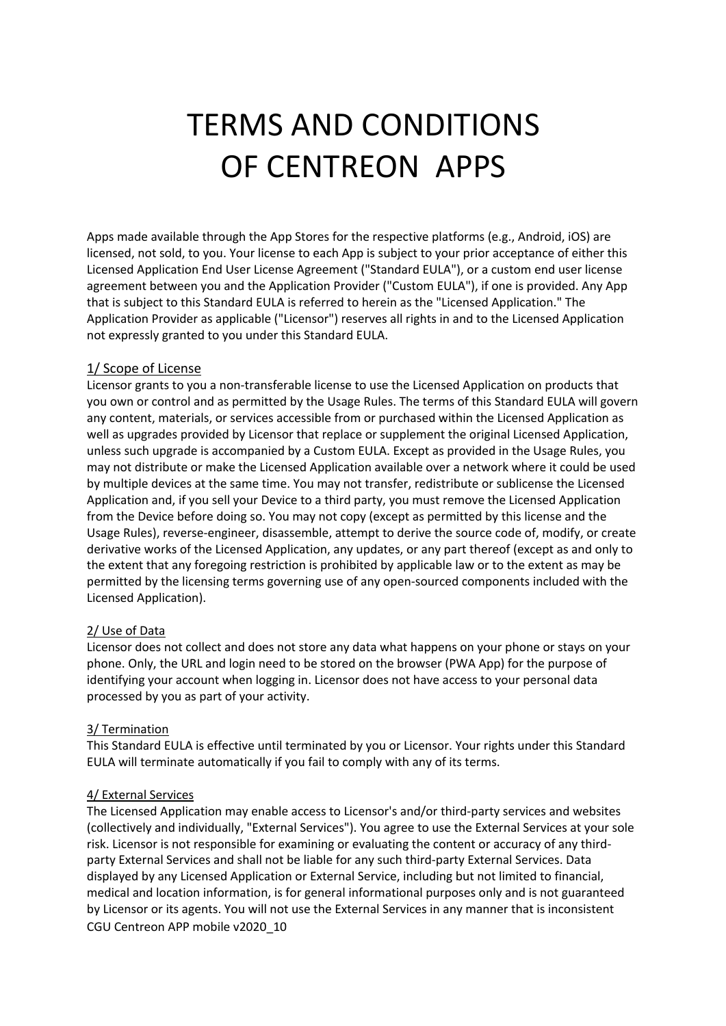# TERMS AND CONDITIONS OF CENTREON APPS

Apps made available through the App Stores for the respective platforms (e.g., Android, iOS) are licensed, not sold, to you. Your license to each App is subject to your prior acceptance of either this Licensed Application End User License Agreement ("Standard EULA"), or a custom end user license agreement between you and the Application Provider ("Custom EULA"), if one is provided. Any App that is subject to this Standard EULA is referred to herein as the "Licensed Application." The Application Provider as applicable ("Licensor") reserves all rights in and to the Licensed Application not expressly granted to you under this Standard EULA.

# 1/ Scope of License

Licensor grants to you a non-transferable license to use the Licensed Application on products that you own or control and as permitted by the Usage Rules. The terms of this Standard EULA will govern any content, materials, or services accessible from or purchased within the Licensed Application as well as upgrades provided by Licensor that replace or supplement the original Licensed Application, unless such upgrade is accompanied by a Custom EULA. Except as provided in the Usage Rules, you may not distribute or make the Licensed Application available over a network where it could be used by multiple devices at the same time. You may not transfer, redistribute or sublicense the Licensed Application and, if you sell your Device to a third party, you must remove the Licensed Application from the Device before doing so. You may not copy (except as permitted by this license and the Usage Rules), reverse-engineer, disassemble, attempt to derive the source code of, modify, or create derivative works of the Licensed Application, any updates, or any part thereof (except as and only to the extent that any foregoing restriction is prohibited by applicable law or to the extent as may be permitted by the licensing terms governing use of any open-sourced components included with the Licensed Application).

## 2/ Use of Data

Licensor does not collect and does not store any data what happens on your phone or stays on your phone. Only, the URL and login need to be stored on the browser (PWA App) for the purpose of identifying your account when logging in. Licensor does not have access to your personal data processed by you as part of your activity.

## 3/ Termination

This Standard EULA is effective until terminated by you or Licensor. Your rights under this Standard EULA will terminate automatically if you fail to comply with any of its terms.

## 4/ External Services

CGU Centreon APP mobile v2020\_10 The Licensed Application may enable access to Licensor's and/or third-party services and websites (collectively and individually, "External Services"). You agree to use the External Services at your sole risk. Licensor is not responsible for examining or evaluating the content or accuracy of any thirdparty External Services and shall not be liable for any such third-party External Services. Data displayed by any Licensed Application or External Service, including but not limited to financial, medical and location information, is for general informational purposes only and is not guaranteed by Licensor or its agents. You will not use the External Services in any manner that is inconsistent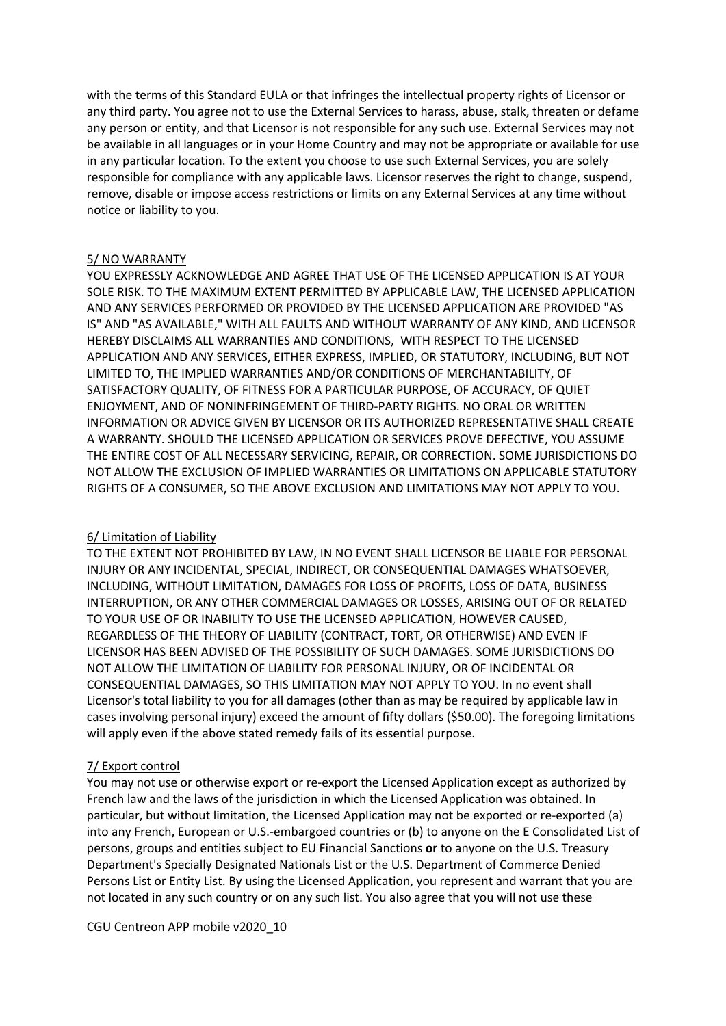with the terms of this Standard EULA or that infringes the intellectual property rights of Licensor or any third party. You agree not to use the External Services to harass, abuse, stalk, threaten or defame any person or entity, and that Licensor is not responsible for any such use. External Services may not be available in all languages or in your Home Country and may not be appropriate or available for use in any particular location. To the extent you choose to use such External Services, you are solely responsible for compliance with any applicable laws. Licensor reserves the right to change, suspend, remove, disable or impose access restrictions or limits on any External Services at any time without notice or liability to you.

## 5/ NO WARRANTY

YOU EXPRESSLY ACKNOWLEDGE AND AGREE THAT USE OF THE LICENSED APPLICATION IS AT YOUR SOLE RISK. TO THE MAXIMUM EXTENT PERMITTED BY APPLICABLE LAW, THE LICENSED APPLICATION AND ANY SERVICES PERFORMED OR PROVIDED BY THE LICENSED APPLICATION ARE PROVIDED "AS IS" AND "AS AVAILABLE," WITH ALL FAULTS AND WITHOUT WARRANTY OF ANY KIND, AND LICENSOR HEREBY DISCLAIMS ALL WARRANTIES AND CONDITIONS, WITH RESPECT TO THE LICENSED APPLICATION AND ANY SERVICES, EITHER EXPRESS, IMPLIED, OR STATUTORY, INCLUDING, BUT NOT LIMITED TO, THE IMPLIED WARRANTIES AND/OR CONDITIONS OF MERCHANTABILITY, OF SATISFACTORY QUALITY, OF FITNESS FOR A PARTICULAR PURPOSE, OF ACCURACY, OF QUIET ENJOYMENT, AND OF NONINFRINGEMENT OF THIRD-PARTY RIGHTS. NO ORAL OR WRITTEN INFORMATION OR ADVICE GIVEN BY LICENSOR OR ITS AUTHORIZED REPRESENTATIVE SHALL CREATE A WARRANTY. SHOULD THE LICENSED APPLICATION OR SERVICES PROVE DEFECTIVE, YOU ASSUME THE ENTIRE COST OF ALL NECESSARY SERVICING, REPAIR, OR CORRECTION. SOME JURISDICTIONS DO NOT ALLOW THE EXCLUSION OF IMPLIED WARRANTIES OR LIMITATIONS ON APPLICABLE STATUTORY RIGHTS OF A CONSUMER, SO THE ABOVE EXCLUSION AND LIMITATIONS MAY NOT APPLY TO YOU.

# 6/ Limitation of Liability

TO THE EXTENT NOT PROHIBITED BY LAW, IN NO EVENT SHALL LICENSOR BE LIABLE FOR PERSONAL INJURY OR ANY INCIDENTAL, SPECIAL, INDIRECT, OR CONSEQUENTIAL DAMAGES WHATSOEVER, INCLUDING, WITHOUT LIMITATION, DAMAGES FOR LOSS OF PROFITS, LOSS OF DATA, BUSINESS INTERRUPTION, OR ANY OTHER COMMERCIAL DAMAGES OR LOSSES, ARISING OUT OF OR RELATED TO YOUR USE OF OR INABILITY TO USE THE LICENSED APPLICATION, HOWEVER CAUSED, REGARDLESS OF THE THEORY OF LIABILITY (CONTRACT, TORT, OR OTHERWISE) AND EVEN IF LICENSOR HAS BEEN ADVISED OF THE POSSIBILITY OF SUCH DAMAGES. SOME JURISDICTIONS DO NOT ALLOW THE LIMITATION OF LIABILITY FOR PERSONAL INJURY, OR OF INCIDENTAL OR CONSEQUENTIAL DAMAGES, SO THIS LIMITATION MAY NOT APPLY TO YOU. In no event shall Licensor's total liability to you for all damages (other than as may be required by applicable law in cases involving personal injury) exceed the amount of fifty dollars (\$50.00). The foregoing limitations will apply even if the above stated remedy fails of its essential purpose.

# 7/ Export control

You may not use or otherwise export or re-export the Licensed Application except as authorized by French law and the laws of the jurisdiction in which the Licensed Application was obtained. In particular, but without limitation, the Licensed Application may not be exported or re-exported (a) into any French, European or U.S.-embargoed countries or (b) to anyone on the E Consolidated List of persons, groups and entities subject to EU Financial Sanctions **or** to anyone on the U.S. Treasury Department's Specially Designated Nationals List or the U.S. Department of Commerce Denied Persons List or Entity List. By using the Licensed Application, you represent and warrant that you are not located in any such country or on any such list. You also agree that you will not use these

CGU Centreon APP mobile v2020\_10